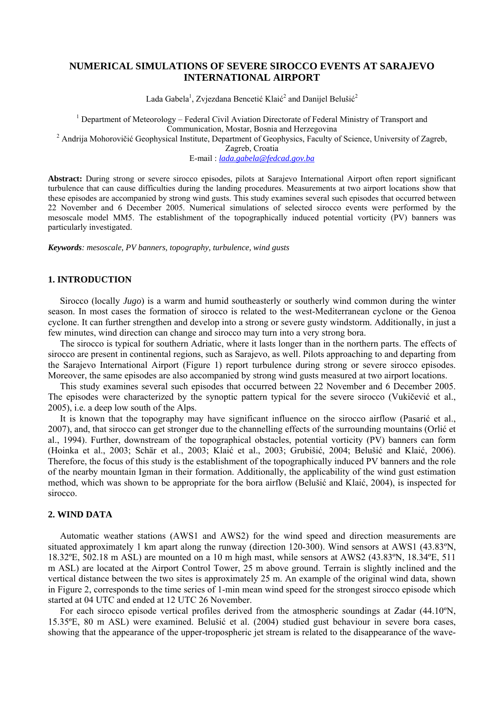# **NUMERICAL SIMULATIONS OF SEVERE SIROCCO EVENTS AT SARAJEVO INTERNATIONAL AIRPORT**

Lada Gabela<sup>1</sup>, Zvjezdana Bencetić Klaić<sup>2</sup> and Danijel Belušić<sup>2</sup>

<sup>1</sup> Department of Meteorology – Federal Civil Aviation Directorate of Federal Ministry of Transport and Communication, Mostar, Bosnia and Herzegovina<br><sup>2</sup> Andrija Mohorovičić Geophysical Institute, Department of Geophysics, Faculty of Science, University of Zagreb,

Zagreb, Croatia

E-mail : *[lada.gabela@fedcad.gov.ba](mailto:lada.gabela@fedcad.gov.ba)*

**Abstract:** During strong or severe sirocco episodes, pilots at Sarajevo International Airport often report significant turbulence that can cause difficulties during the landing procedures. Measurements at two airport locations show that these episodes are accompanied by strong wind gusts. This study examines several such episodes that occurred between 22 November and 6 December 2005. Numerical simulations of selected sirocco events were performed by the mesoscale model MM5. The establishment of the topographically induced potential vorticity (PV) banners was particularly investigated.

*Keywords: mesoscale, PV banners, topography, turbulence, wind gusts* 

### **1. INTRODUCTION**

Sirocco (locally *Jugo*) is a warm and humid southeasterly or southerly wind common during the winter season. In most cases the formation of sirocco is related to the west-Mediterranean cyclone or the Genoa cyclone. It can further strengthen and develop into a strong or severe gusty windstorm. Additionally, in just a few minutes, wind direction can change and sirocco may turn into a very strong bora.

The sirocco is typical for southern Adriatic, where it lasts longer than in the northern parts. The effects of sirocco are present in continental regions, such as Sarajevo, as well. Pilots approaching to and departing from the Sarajevo International Airport (Figure 1) report turbulence during strong or severe sirocco episodes. Moreover, the same episodes are also accompanied by strong wind gusts measured at two airport locations.

This study examines several such episodes that occurred between 22 November and 6 December 2005. The episodes were characterized by the synoptic pattern typical for the severe sirocco (Vukičević et al., 2005), i.e. a deep low south of the Alps.

It is known that the topography may have significant influence on the sirocco airflow (Pasarić et al., 2007), and, that sirocco can get stronger due to the channelling effects of the surrounding mountains (Orlić et al., 1994). Further, downstream of the topographical obstacles, potential vorticity (PV) banners can form (Hoinka et al., 2003; Schär et al., 2003; Klaić et al., 2003; Grubišić, 2004; Belušić and Klaić, 2006). Therefore, the focus of this study is the establishment of the topographically induced PV banners and the role of the nearby mountain Igman in their formation. Additionally, the applicability of the wind gust estimation method, which was shown to be appropriate for the bora airflow (Belušić and Klaić, 2004), is inspected for sirocco.

### **2. WIND DATA**

Automatic weather stations (AWS1 and AWS2) for the wind speed and direction measurements are situated approximately 1 km apart along the runway (direction 120-300). Wind sensors at AWS1 (43.83ºN, 18.32ºE, 502.18 m ASL) are mounted on a 10 m high mast, while sensors at AWS2 (43.83ºN, 18.34ºE, 511 m ASL) are located at the Airport Control Tower, 25 m above ground. Terrain is slightly inclined and the vertical distance between the two sites is approximately 25 m. An example of the original wind data, shown in Figure 2, corresponds to the time series of 1-min mean wind speed for the strongest sirocco episode which started at 04 UTC and ended at 12 UTC 26 November.

For each sirocco episode vertical profiles derived from the atmospheric soundings at Zadar (44.10ºN, 15.35ºE, 80 m ASL) were examined. Belušić et al. (2004) studied gust behaviour in severe bora cases, showing that the appearance of the upper-tropospheric jet stream is related to the disappearance of the wave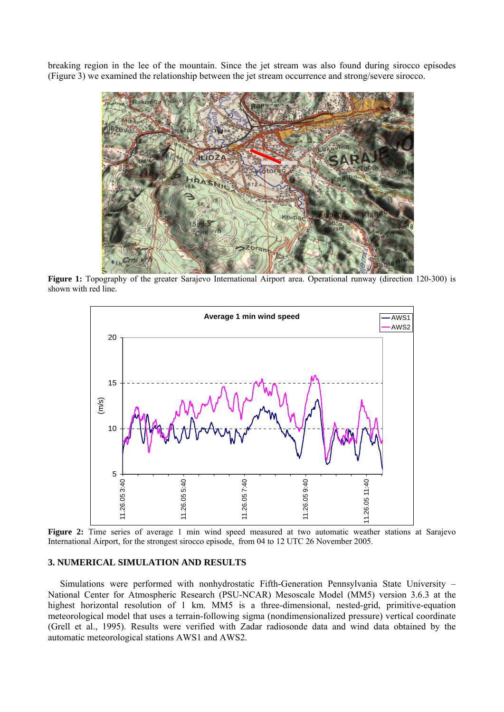breaking region in the lee of the mountain. Since the jet stream was also found during sirocco episodes (Figure 3) we examined the relationship between the jet stream occurrence and strong/severe sirocco.



**Figure 1:** Topography of the greater Sarajevo International Airport area. Operational runway (direction 120-300) is shown with red line.



Figure 2: Time series of average 1 min wind speed measured at two automatic weather stations at Sarajevo International Airport, for the strongest sirocco episode, from 04 to 12 UTC 26 November 2005.

## **3. NUMERICAL SIMULATION AND RESULTS**

Simulations were performed with nonhydrostatic Fifth-Generation Pennsylvania State University – National Center for Atmospheric Research (PSU-NCAR) Mesoscale Model (MM5) version 3.6.3 at the highest horizontal resolution of 1 km. MM5 is a three-dimensional, nested-grid, primitive-equation meteorological model that uses a terrain-following sigma (nondimensionalized pressure) vertical coordinate (Grell et al., 1995). Results were verified with Zadar radiosonde data and wind data obtained by the automatic meteorological stations AWS1 and AWS2.